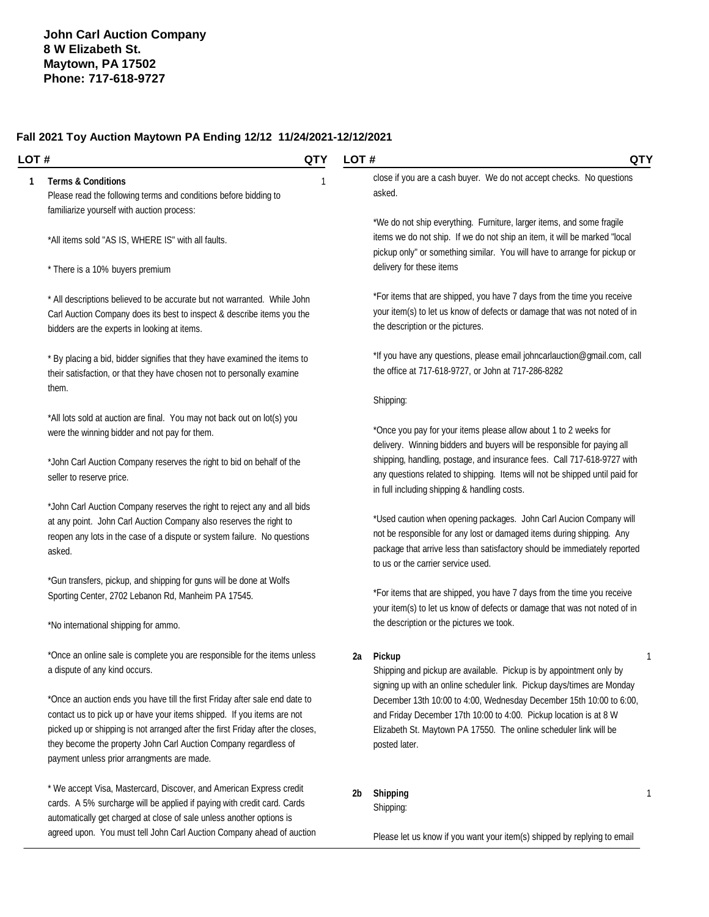#### **Fall 2021 Toy Auction Maytown PA Ending 12/12 11/24/2021-12/12/2021**

#### **LOT # QTY**

#### **1 Terms & Conditions** 1

Please read the following terms and conditions before bidding to familiarize yourself with auction process:

\*All items sold "AS IS, WHERE IS" with all faults.

\* There is a 10% buyers premium

\* All descriptions believed to be accurate but not warranted. While John Carl Auction Company does its best to inspect & describe items you the bidders are the experts in looking at items.

\* By placing a bid, bidder signifies that they have examined the items to their satisfaction, or that they have chosen not to personally examine them.

\*All lots sold at auction are final. You may not back out on lot(s) you were the winning bidder and not pay for them.

\*John Carl Auction Company reserves the right to bid on behalf of the seller to reserve price.

\*John Carl Auction Company reserves the right to reject any and all bids at any point. John Carl Auction Company also reserves the right to reopen any lots in the case of a dispute or system failure. No questions asked.

\*Gun transfers, pickup, and shipping for guns will be done at Wolfs Sporting Center, 2702 Lebanon Rd, Manheim PA 17545.

\*No international shipping for ammo.

\*Once an online sale is complete you are responsible for the items unless a dispute of any kind occurs.

\*Once an auction ends you have till the first Friday after sale end date to contact us to pick up or have your items shipped. If you items are not picked up or shipping is not arranged after the first Friday after the closes, they become the property John Carl Auction Company regardless of payment unless prior arrangments are made.

\* We accept Visa, Mastercard, Discover, and American Express credit cards. A 5% surcharge will be applied if paying with credit card. Cards automatically get charged at close of sale unless another options is agreed upon. You must tell John Carl Auction Company ahead of auction close if you are a cash buyer. We do not accept checks. No questions asked.

\*We do not ship everything. Furniture, larger items, and some fragile items we do not ship. If we do not ship an item, it will be marked "local pickup only" or something similar. You will have to arrange for pickup or delivery for these items

\*For items that are shipped, you have 7 days from the time you receive your item(s) to let us know of defects or damage that was not noted of in the description or the pictures.

\*If you have any questions, please email [johncarlauction@gmail.com,](mailto:johncarlauction@gmail.com,) call the office at 717-618-9727, or John at 717-286-8282

#### Shipping:

\*Once you pay for your items please allow about 1 to 2 weeks for delivery. Winning bidders and buyers will be responsible for paying all shipping, handling, postage, and insurance fees. Call 717-618-9727 with any questions related to shipping. Items will not be shipped until paid for in full including shipping & handling costs.

\*Used caution when opening packages. John Carl Aucion Company will not be responsible for any lost or damaged items during shipping. Any package that arrive less than satisfactory should be immediately reported to us or the carrier service used.

\*For items that are shipped, you have 7 days from the time you receive your item(s) to let us know of defects or damage that was not noted of in the description or the pictures we took.

#### **2a Pickup** 1

Shipping and pickup are available. Pickup is by appointment only by signing up with an online scheduler link. Pickup days/times are Monday December 13th 10:00 to 4:00, Wednesday December 15th 10:00 to 6:00, and Friday December 17th 10:00 to 4:00. Pickup location is at 8 W Elizabeth St. Maytown PA 17550. The online scheduler link will be posted later.

Shipping: **2b Shipping** 1

Please let us know if you want your item(s) shipped by replying to email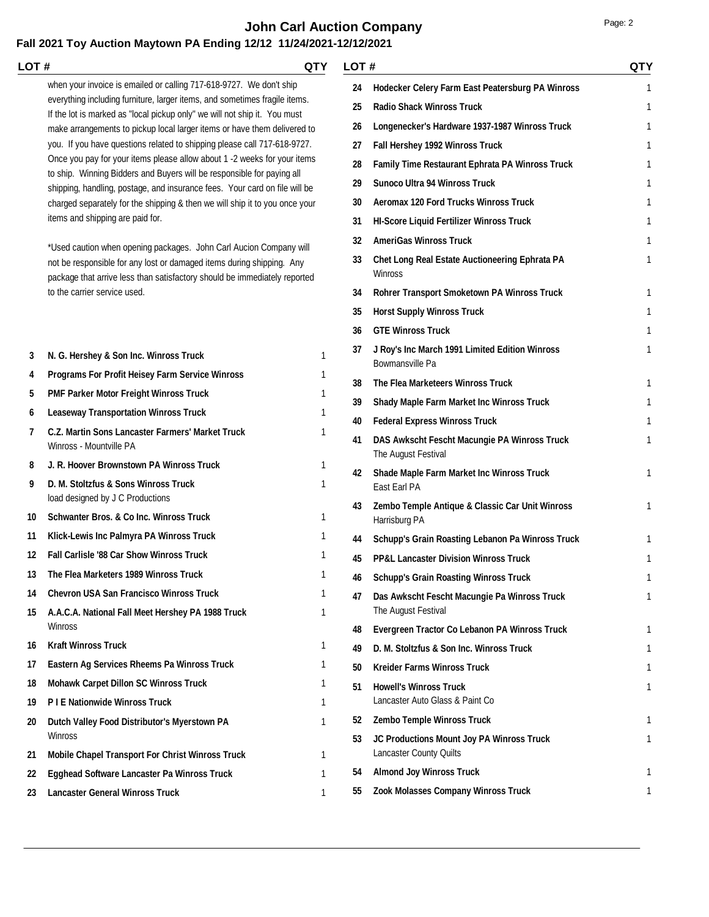# **John Carl Auction Company Page: 2 Page: 2**

| LOT#     |                                                                                                                                                                                                                                                                                                                                                                                                                                                                                                                                                                                                                                                                                                                                                                                                                                                                                                                                                                                                           | QTY          | LOT#                                                     |                                                                                                                                                                                                                                                                                                                                                                                                                                                                       | QTY              |
|----------|-----------------------------------------------------------------------------------------------------------------------------------------------------------------------------------------------------------------------------------------------------------------------------------------------------------------------------------------------------------------------------------------------------------------------------------------------------------------------------------------------------------------------------------------------------------------------------------------------------------------------------------------------------------------------------------------------------------------------------------------------------------------------------------------------------------------------------------------------------------------------------------------------------------------------------------------------------------------------------------------------------------|--------------|----------------------------------------------------------|-----------------------------------------------------------------------------------------------------------------------------------------------------------------------------------------------------------------------------------------------------------------------------------------------------------------------------------------------------------------------------------------------------------------------------------------------------------------------|------------------|
|          | when your invoice is emailed or calling 717-618-9727. We don't ship<br>everything including furniture, larger items, and sometimes fragile items.<br>If the lot is marked as "local pickup only" we will not ship it. You must<br>make arrangements to pickup local larger items or have them delivered to<br>you. If you have questions related to shipping please call 717-618-9727.<br>Once you pay for your items please allow about 1 -2 weeks for your items<br>to ship. Winning Bidders and Buyers will be responsible for paying all<br>shipping, handling, postage, and insurance fees. Your card on file will be<br>charged separately for the shipping & then we will ship it to you once your<br>items and shipping are paid for.<br>*Used caution when opening packages. John Carl Aucion Company will<br>not be responsible for any lost or damaged items during shipping. Any<br>package that arrive less than satisfactory should be immediately reported<br>to the carrier service used. |              | 24<br>25<br>26<br>27<br>28<br>29<br>30<br>31<br>32<br>33 | Hodecker Celery Farm East Peatersburg PA Winross<br><b>Radio Shack Winross Truck</b><br>Longenecker's Hardware 1937-1987 Winross Truck<br>Fall Hershey 1992 Winross Truck<br>Family Time Restaurant Ephrata PA Winross Truck<br><b>Sunoco Ultra 94 Winross Truck</b><br><b>Aeromax 120 Ford Trucks Winross Truck</b><br><b>HI-Score Liquid Fertilizer Winross Truck</b><br><b>AmeriGas Winross Truck</b><br>Chet Long Real Estate Auctioneering Ephrata PA<br>Winross | 1<br>1<br>1<br>1 |
|          |                                                                                                                                                                                                                                                                                                                                                                                                                                                                                                                                                                                                                                                                                                                                                                                                                                                                                                                                                                                                           |              | 34<br>35                                                 | Rohrer Transport Smoketown PA Winross Truck<br><b>Horst Supply Winross Truck</b>                                                                                                                                                                                                                                                                                                                                                                                      | 1                |
|          |                                                                                                                                                                                                                                                                                                                                                                                                                                                                                                                                                                                                                                                                                                                                                                                                                                                                                                                                                                                                           |              | 36                                                       | <b>GTE Winross Truck</b>                                                                                                                                                                                                                                                                                                                                                                                                                                              | 1                |
| 3        | N. G. Hershey & Son Inc. Winross Truck                                                                                                                                                                                                                                                                                                                                                                                                                                                                                                                                                                                                                                                                                                                                                                                                                                                                                                                                                                    | 1            | 37                                                       | J Roy's Inc March 1991 Limited Edition Winross<br>Bowmansville Pa                                                                                                                                                                                                                                                                                                                                                                                                     |                  |
| 4        | Programs For Profit Heisey Farm Service Winross                                                                                                                                                                                                                                                                                                                                                                                                                                                                                                                                                                                                                                                                                                                                                                                                                                                                                                                                                           |              | 38                                                       | The Flea Marketeers Winross Truck                                                                                                                                                                                                                                                                                                                                                                                                                                     | 1                |
| 5        | <b>PMF Parker Motor Freight Winross Truck</b>                                                                                                                                                                                                                                                                                                                                                                                                                                                                                                                                                                                                                                                                                                                                                                                                                                                                                                                                                             | 1            | 39                                                       | Shady Maple Farm Market Inc Winross Truck                                                                                                                                                                                                                                                                                                                                                                                                                             |                  |
| 6        | <b>Leaseway Transportation Winross Truck</b>                                                                                                                                                                                                                                                                                                                                                                                                                                                                                                                                                                                                                                                                                                                                                                                                                                                                                                                                                              | 1            | 40                                                       | <b>Federal Express Winross Truck</b>                                                                                                                                                                                                                                                                                                                                                                                                                                  | 1                |
| 7        | C.Z. Martin Sons Lancaster Farmers' Market Truck<br>Winross - Mountville PA                                                                                                                                                                                                                                                                                                                                                                                                                                                                                                                                                                                                                                                                                                                                                                                                                                                                                                                               | 1            | 41                                                       | DAS Awkscht Fescht Macungie PA Winross Truck<br>The August Festival                                                                                                                                                                                                                                                                                                                                                                                                   | 1                |
| 8<br>9   | J. R. Hoover Brownstown PA Winross Truck<br>D. M. Stoltzfus & Sons Winross Truck<br>load designed by J C Productions                                                                                                                                                                                                                                                                                                                                                                                                                                                                                                                                                                                                                                                                                                                                                                                                                                                                                      |              | 42                                                       | Shade Maple Farm Market Inc Winross Truck<br>East Earl PA                                                                                                                                                                                                                                                                                                                                                                                                             |                  |
| 10       | Schwanter Bros. & Co Inc. Winross Truck                                                                                                                                                                                                                                                                                                                                                                                                                                                                                                                                                                                                                                                                                                                                                                                                                                                                                                                                                                   | 1            | 43                                                       | Zembo Temple Antique & Classic Car Unit Winross<br>Harrisburg PA                                                                                                                                                                                                                                                                                                                                                                                                      | 1                |
| 11       | Klick-Lewis Inc Palmyra PA Winross Truck                                                                                                                                                                                                                                                                                                                                                                                                                                                                                                                                                                                                                                                                                                                                                                                                                                                                                                                                                                  |              | 44                                                       | Schupp's Grain Roasting Lebanon Pa Winross Truck                                                                                                                                                                                                                                                                                                                                                                                                                      |                  |
| 12       | <b>Fall Carlisle '88 Car Show Winross Truck</b>                                                                                                                                                                                                                                                                                                                                                                                                                                                                                                                                                                                                                                                                                                                                                                                                                                                                                                                                                           | 1            | 45                                                       | <b>PP&amp;L Lancaster Division Winross Truck</b>                                                                                                                                                                                                                                                                                                                                                                                                                      |                  |
|          | The Flea Marketers 1989 Winross Truck                                                                                                                                                                                                                                                                                                                                                                                                                                                                                                                                                                                                                                                                                                                                                                                                                                                                                                                                                                     |              | 46                                                       | <b>Schupp's Grain Roasting Winross Truck</b>                                                                                                                                                                                                                                                                                                                                                                                                                          |                  |
| 14<br>15 | <b>Chevron USA San Francisco Winross Truck</b><br>A.A.C.A. National Fall Meet Hershey PA 1988 Truck                                                                                                                                                                                                                                                                                                                                                                                                                                                                                                                                                                                                                                                                                                                                                                                                                                                                                                       | 1<br>1       | 47                                                       | Das Awkscht Fescht Macungie Pa Winross Truck<br>The August Festival                                                                                                                                                                                                                                                                                                                                                                                                   | 1                |
|          | <b>Winross</b>                                                                                                                                                                                                                                                                                                                                                                                                                                                                                                                                                                                                                                                                                                                                                                                                                                                                                                                                                                                            |              | 48                                                       | Evergreen Tractor Co Lebanon PA Winross Truck                                                                                                                                                                                                                                                                                                                                                                                                                         | 1                |
| 16       | <b>Kraft Winross Truck</b>                                                                                                                                                                                                                                                                                                                                                                                                                                                                                                                                                                                                                                                                                                                                                                                                                                                                                                                                                                                | 1            | 49                                                       | D. M. Stoltzfus & Son Inc. Winross Truck                                                                                                                                                                                                                                                                                                                                                                                                                              |                  |
| 17       | Eastern Ag Services Rheems Pa Winross Truck                                                                                                                                                                                                                                                                                                                                                                                                                                                                                                                                                                                                                                                                                                                                                                                                                                                                                                                                                               | 1            | 50                                                       | <b>Kreider Farms Winross Truck</b>                                                                                                                                                                                                                                                                                                                                                                                                                                    |                  |
| 18<br>19 | <b>Mohawk Carpet Dillon SC Winross Truck</b><br><b>PIE Nationwide Winross Truck</b>                                                                                                                                                                                                                                                                                                                                                                                                                                                                                                                                                                                                                                                                                                                                                                                                                                                                                                                       | 1<br>1       | 51                                                       | <b>Howell's Winross Truck</b><br>Lancaster Auto Glass & Paint Co                                                                                                                                                                                                                                                                                                                                                                                                      |                  |
| 20       | Dutch Valley Food Distributor's Myerstown PA                                                                                                                                                                                                                                                                                                                                                                                                                                                                                                                                                                                                                                                                                                                                                                                                                                                                                                                                                              | $\mathbf{1}$ | 52                                                       | Zembo Temple Winross Truck                                                                                                                                                                                                                                                                                                                                                                                                                                            | 1                |
| 21       | <b>Winross</b><br>Mobile Chapel Transport For Christ Winross Truck                                                                                                                                                                                                                                                                                                                                                                                                                                                                                                                                                                                                                                                                                                                                                                                                                                                                                                                                        | 1            | 53                                                       | JC Productions Mount Joy PA Winross Truck<br>Lancaster County Quilts                                                                                                                                                                                                                                                                                                                                                                                                  |                  |
| 22       | Egghead Software Lancaster Pa Winross Truck                                                                                                                                                                                                                                                                                                                                                                                                                                                                                                                                                                                                                                                                                                                                                                                                                                                                                                                                                               | 1            | 54                                                       | <b>Almond Joy Winross Truck</b>                                                                                                                                                                                                                                                                                                                                                                                                                                       |                  |
| 23       | <b>Lancaster General Winross Truck</b>                                                                                                                                                                                                                                                                                                                                                                                                                                                                                                                                                                                                                                                                                                                                                                                                                                                                                                                                                                    | $\mathbf{1}$ | 55                                                       | Zook Molasses Company Winross Truck                                                                                                                                                                                                                                                                                                                                                                                                                                   | 1                |
|          |                                                                                                                                                                                                                                                                                                                                                                                                                                                                                                                                                                                                                                                                                                                                                                                                                                                                                                                                                                                                           |              |                                                          |                                                                                                                                                                                                                                                                                                                                                                                                                                                                       |                  |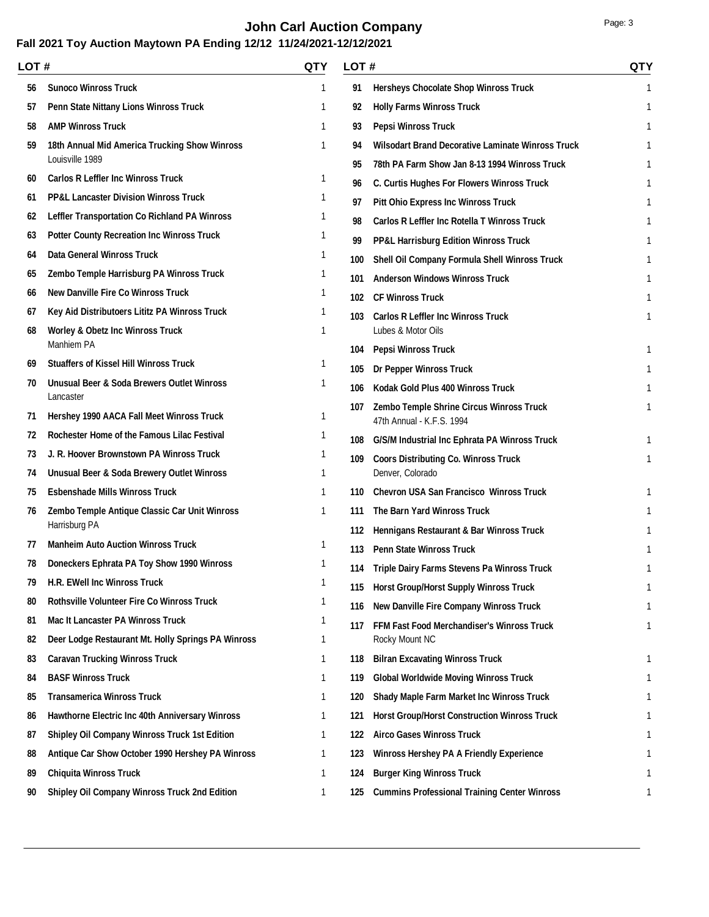# **John Carl Auction Company Page: 3**

| LOT # |                                                        | QTY          | LOT# |                                                                       | <b>QTY</b> |
|-------|--------------------------------------------------------|--------------|------|-----------------------------------------------------------------------|------------|
| 56    | <b>Sunoco Winross Truck</b>                            | 1            | 91   | <b>Hersheys Chocolate Shop Winross Truck</b>                          | 1          |
| 57    | Penn State Nittany Lions Winross Truck                 | 1            | 92   | <b>Holly Farms Winross Truck</b>                                      | 1          |
| 58    | <b>AMP Winross Truck</b>                               | 1            | 93   | <b>Pepsi Winross Truck</b>                                            | 1          |
| 59    | 18th Annual Mid America Trucking Show Winross          | 1            | 94   | <b>Wilsodart Brand Decorative Laminate Winross Truck</b>              |            |
|       | Louisville 1989                                        |              | 95   | 78th PA Farm Show Jan 8-13 1994 Winross Truck                         |            |
| 60    | <b>Carlos R Leffler Inc Winross Truck</b>              | 1            | 96   | C. Curtis Hughes For Flowers Winross Truck                            |            |
| 61    | <b>PP&amp;L Lancaster Division Winross Truck</b>       | 1            | 97   | <b>Pitt Ohio Express Inc Winross Truck</b>                            |            |
| 62    | <b>Leffler Transportation Co Richland PA Winross</b>   | 1            | 98   | <b>Carlos R Leffler Inc Rotella T Winross Truck</b>                   |            |
| 63    | <b>Potter County Recreation Inc Winross Truck</b>      | 1            | 99   | <b>PP&amp;L Harrisburg Edition Winross Truck</b>                      |            |
| 64    | <b>Data General Winross Truck</b>                      | 1            | 100  | Shell Oil Company Formula Shell Winross Truck                         |            |
| 65    | Zembo Temple Harrisburg PA Winross Truck               | 1            | 101  | <b>Anderson Windows Winross Truck</b>                                 |            |
| 66    | <b>New Danville Fire Co Winross Truck</b>              | 1            | 102  | <b>CF Winross Truck</b>                                               |            |
| 67    | Key Aid Distributoers Lititz PA Winross Truck          | 1            | 103  | <b>Carlos R Leffler Inc Winross Truck</b>                             |            |
| 68    | <b>Worley &amp; Obetz Inc Winross Truck</b>            | 1            |      | Lubes & Motor Oils                                                    |            |
|       | Manhiem PA                                             |              | 104  | <b>Pepsi Winross Truck</b>                                            | 1          |
| 69    | <b>Stuaffers of Kissel Hill Winross Truck</b>          | 1            | 105  | <b>Dr Pepper Winross Truck</b>                                        |            |
| 70    | Unusual Beer & Soda Brewers Outlet Winross             | 1            | 106  | Kodak Gold Plus 400 Winross Truck                                     |            |
| 71    | Lancaster<br>Hershey 1990 AACA Fall Meet Winross Truck | 1            | 107  | Zembo Temple Shrine Circus Winross Truck<br>47th Annual - K.F.S. 1994 | 1          |
| 72    | Rochester Home of the Famous Lilac Festival            | 1            | 108  | G/S/M Industrial Inc Ephrata PA Winross Truck                         | 1          |
| 73    | J. R. Hoover Brownstown PA Winross Truck               | 1            | 109  | <b>Coors Distributing Co. Winross Truck</b>                           | 1          |
| 74    | <b>Unusual Beer &amp; Soda Brewery Outlet Winross</b>  | 1            |      | Denver, Colorado                                                      |            |
| 75    | <b>Esbenshade Mills Winross Truck</b>                  | 1            | 110  | <b>Chevron USA San Francisco Winross Truck</b>                        |            |
| 76    | Zembo Temple Antique Classic Car Unit Winross          | 1            | 111  | The Barn Yard Winross Truck                                           |            |
|       | Harrisburg PA                                          |              | 112  | Hennigans Restaurant & Bar Winross Truck                              |            |
| 77    | <b>Manheim Auto Auction Winross Truck</b>              | 1            | 113  | <b>Penn State Winross Truck</b>                                       |            |
| 78    | Doneckers Ephrata PA Toy Show 1990 Winross             | 1            | 114  | Triple Dairy Farms Stevens Pa Winross Truck                           |            |
| 79    | H.R. EWell Inc Winross Truck                           | 1            |      | 115 Horst Group/Horst Supply Winross Truck                            | 1          |
| 80    | <b>Rothsville Volunteer Fire Co Winross Truck</b>      | 1            | 116  | New Danville Fire Company Winross Truck                               | 1          |
| 81    | <b>Mac It Lancaster PA Winross Truck</b>               | 1            | 117  | FFM Fast Food Merchandiser's Winross Truck                            | 1          |
| 82    | Deer Lodge Restaurant Mt. Holly Springs PA Winross     | 1            |      | Rocky Mount NC                                                        |            |
| 83    | <b>Caravan Trucking Winross Truck</b>                  | 1            | 118  | <b>Bilran Excavating Winross Truck</b>                                |            |
| 84    | <b>BASF Winross Truck</b>                              | 1            | 119  | <b>Global Worldwide Moving Winross Truck</b>                          |            |
| 85    | <b>Transamerica Winross Truck</b>                      | 1            | 120  | Shady Maple Farm Market Inc Winross Truck                             |            |
| 86    | Hawthorne Electric Inc 40th Anniversary Winross        | 1            | 121  | <b>Horst Group/Horst Construction Winross Truck</b>                   |            |
| 87    | <b>Shipley Oil Company Winross Truck 1st Edition</b>   | $\mathbf{1}$ | 122  | <b>Airco Gases Winross Truck</b>                                      |            |
| 88    | Antique Car Show October 1990 Hershey PA Winross       | $\mathbf{1}$ | 123  | <b>Winross Hershey PA A Friendly Experience</b>                       | 1          |
| 89    | <b>Chiquita Winross Truck</b>                          | $\mathbf{1}$ | 124  | <b>Burger King Winross Truck</b>                                      |            |
| 90    | <b>Shipley Oil Company Winross Truck 2nd Edition</b>   | $\mathbf{1}$ | 125  | <b>Cummins Professional Training Center Winross</b>                   | 1          |
|       |                                                        |              |      |                                                                       |            |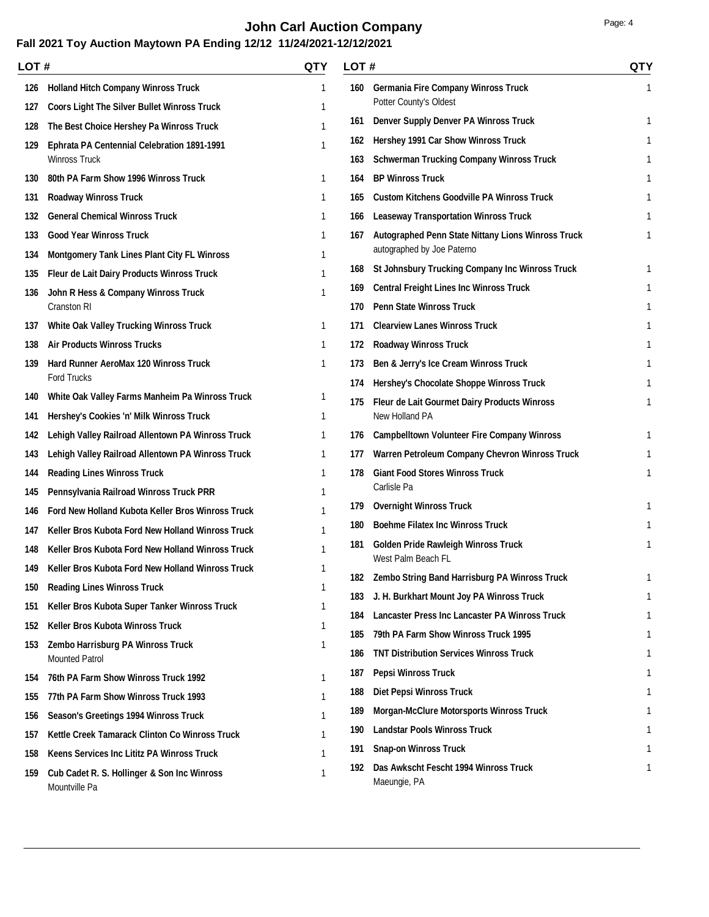# **John Carl Auction Company Page: 4 Page: 4**

|     | LOT #                                                        |              | <b>QTY</b><br>LOT# |                                                                  | <b>QTY</b> |
|-----|--------------------------------------------------------------|--------------|--------------------|------------------------------------------------------------------|------------|
| 126 | <b>Holland Hitch Company Winross Truck</b>                   | $\mathbf{1}$ |                    | 160 Germania Fire Company Winross Truck                          | 1          |
| 127 | <b>Coors Light The Silver Bullet Winross Truck</b>           |              |                    | Potter County's Oldest                                           |            |
| 128 | The Best Choice Hershey Pa Winross Truck                     | 1            | 161                | <b>Denver Supply Denver PA Winross Truck</b>                     | 1          |
| 129 | <b>Ephrata PA Centennial Celebration 1891-1991</b>           | 1            | 162                | Hershey 1991 Car Show Winross Truck                              | 1          |
|     | <b>Winross Truck</b>                                         |              | 163                | <b>Schwerman Trucking Company Winross Truck</b>                  |            |
| 130 | 80th PA Farm Show 1996 Winross Truck                         | 1            | 164                | <b>BP Winross Truck</b>                                          | 1          |
| 131 | <b>Roadway Winross Truck</b>                                 | 1            | 165                | <b>Custom Kitchens Goodville PA Winross Truck</b>                |            |
| 132 | <b>General Chemical Winross Truck</b>                        | 1            | 166                | <b>Leaseway Transportation Winross Truck</b>                     | 1          |
| 133 | <b>Good Year Winross Truck</b>                               | 1            | 167                | Autographed Penn State Nittany Lions Winross Truck               |            |
| 134 | <b>Montgomery Tank Lines Plant City FL Winross</b>           | 1            |                    | autographed by Joe Paterno                                       |            |
| 135 | Fleur de Lait Dairy Products Winross Truck                   | 1            | 168                | St Johnsbury Trucking Company Inc Winross Truck                  | 1          |
| 136 | John R Hess & Company Winross Truck                          | 1            | 169                | <b>Central Freight Lines Inc Winross Truck</b>                   |            |
|     | Cranston RI                                                  |              | 170                | <b>Penn State Winross Truck</b>                                  |            |
| 137 | <b>White Oak Valley Trucking Winross Truck</b>               | $\mathbf{1}$ | 171                | <b>Clearview Lanes Winross Truck</b>                             |            |
| 138 | <b>Air Products Winross Trucks</b>                           | 1            | 172                | <b>Roadway Winross Truck</b>                                     | 1          |
| 139 | Hard Runner AeroMax 120 Winross Truck                        | 1            | 173                | Ben & Jerry's Ice Cream Winross Truck                            |            |
|     | <b>Ford Trucks</b>                                           |              | 174                | Hershey's Chocolate Shoppe Winross Truck                         |            |
| 140 | White Oak Valley Farms Manheim Pa Winross Truck              |              | 175                | Fleur de Lait Gourmet Dairy Products Winross                     |            |
| 141 | Hershey's Cookies 'n' Milk Winross Truck                     | 1            |                    | New Holland PA                                                   |            |
| 142 | Lehigh Valley Railroad Allentown PA Winross Truck            | 1            | 176                | <b>Campbelltown Volunteer Fire Company Winross</b>               | 1          |
| 143 | Lehigh Valley Railroad Allentown PA Winross Truck            | 1            | 177                | Warren Petroleum Company Chevron Winross Truck                   |            |
| 144 | <b>Reading Lines Winross Truck</b>                           | 1            | 178                | <b>Giant Food Stores Winross Truck</b><br>Carlisle Pa            | 1          |
| 145 | Pennsylvania Railroad Winross Truck PRR                      | 1            |                    |                                                                  |            |
| 146 | Ford New Holland Kubota Keller Bros Winross Truck            | 1            | 179                | <b>Overnight Winross Truck</b>                                   |            |
| 147 | Keller Bros Kubota Ford New Holland Winross Truck            |              | 180                | <b>Boehme Filatex Inc Winross Truck</b>                          |            |
| 148 | Keller Bros Kubota Ford New Holland Winross Truck            | 1            | 181                | <b>Golden Pride Rawleigh Winross Truck</b><br>West Palm Beach FL |            |
| 149 | Keller Bros Kubota Ford New Holland Winross Truck            | 1            |                    | 182 Zembo String Band Harrisburg PA Winross Truck                |            |
| 150 | <b>Reading Lines Winross Truck</b>                           | 1            | 183                | J. H. Burkhart Mount Joy PA Winross Truck                        |            |
| 151 | Keller Bros Kubota Super Tanker Winross Truck                | 1            | 184                | <b>Lancaster Press Inc Lancaster PA Winross Truck</b>            | 1          |
| 152 | Keller Bros Kubota Winross Truck                             | 1            | 185                | 79th PA Farm Show Winross Truck 1995                             |            |
| 153 | Zembo Harrisburg PA Winross Truck                            | 1            | 186                | <b>TNT Distribution Services Winross Truck</b>                   |            |
|     | <b>Mounted Patrol</b>                                        |              | 187                |                                                                  |            |
| 154 | 76th PA Farm Show Winross Truck 1992                         | 1            |                    | <b>Pepsi Winross Truck</b>                                       |            |
| 155 | 77th PA Farm Show Winross Truck 1993                         | 1            | 188                | <b>Diet Pepsi Winross Truck</b>                                  |            |
| 156 | <b>Season's Greetings 1994 Winross Truck</b>                 | 1            | 189                | <b>Morgan-McClure Motorsports Winross Truck</b>                  |            |
| 157 | Kettle Creek Tamarack Clinton Co Winross Truck               | 1            | 190                | <b>Landstar Pools Winross Truck</b>                              |            |
| 158 | <b>Keens Services Inc Lititz PA Winross Truck</b>            |              | 191                | <b>Snap-on Winross Truck</b>                                     |            |
| 159 | Cub Cadet R. S. Hollinger & Son Inc Winross<br>Mountville Pa | 1            | 192                | Das Awkscht Fescht 1994 Winross Truck<br>Maeungie, PA            |            |
|     |                                                              |              |                    |                                                                  |            |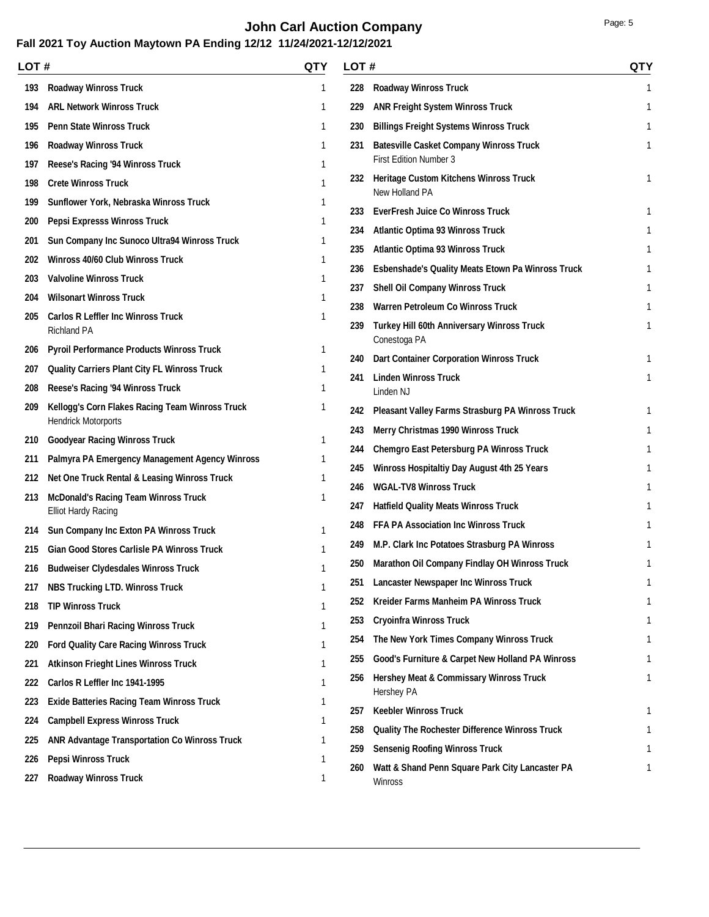# **John Carl Auction Company Page: 5 Page: 5**

|     | LOT #                                                                     |        | QTY<br>LOT# |                                                                   |   |
|-----|---------------------------------------------------------------------------|--------|-------------|-------------------------------------------------------------------|---|
| 193 | <b>Roadway Winross Truck</b>                                              | 1      | 228         | <b>Roadway Winross Truck</b>                                      | 1 |
| 194 | <b>ARL Network Winross Truck</b>                                          | 1      | 229         | <b>ANR Freight System Winross Truck</b>                           | 1 |
| 195 | <b>Penn State Winross Truck</b>                                           | 1      | 230         | <b>Billings Freight Systems Winross Truck</b>                     |   |
| 196 | <b>Roadway Winross Truck</b>                                              | 1      | 231         | <b>Batesville Casket Company Winross Truck</b>                    |   |
| 197 | Reese's Racing '94 Winross Truck                                          | 1      |             | <b>First Edition Number 3</b>                                     |   |
| 198 | <b>Crete Winross Truck</b>                                                | 1      | 232         | Heritage Custom Kitchens Winross Truck                            | 1 |
| 199 | Sunflower York, Nebraska Winross Truck                                    |        |             | New Holland PA                                                    | 1 |
| 200 | Pepsi Expresss Winross Truck                                              |        | 233         | <b>EverFresh Juice Co Winross Truck</b>                           |   |
| 201 | Sun Company Inc Sunoco Ultra94 Winross Truck                              |        | 234         | <b>Atlantic Optima 93 Winross Truck</b>                           |   |
| 202 | Winross 40/60 Club Winross Truck                                          |        | 235         | <b>Atlantic Optima 93 Winross Truck</b>                           |   |
| 203 | <b>Valvoline Winross Truck</b>                                            | 1      | 236         | <b>Esbenshade's Quality Meats Etown Pa Winross Truck</b>          |   |
| 204 | <b>Wilsonart Winross Truck</b>                                            | 1      | 237         | <b>Shell Oil Company Winross Truck</b>                            |   |
| 205 | <b>Carlos R Leffler Inc Winross Truck</b>                                 | ı      | 238         | <b>Warren Petroleum Co Winross Truck</b>                          |   |
|     | <b>Richland PA</b>                                                        |        | 239         | <b>Turkey Hill 60th Anniversary Winross Truck</b><br>Conestoga PA |   |
| 206 | <b>Pyroil Performance Products Winross Truck</b>                          | 1      | 240         | <b>Dart Container Corporation Winross Truck</b>                   |   |
| 207 | <b>Quality Carriers Plant City FL Winross Truck</b>                       | 1      | 241         | <b>Linden Winross Truck</b>                                       | 1 |
| 208 | Reese's Racing '94 Winross Truck                                          | 1      |             | Linden NJ                                                         |   |
| 209 | Kellogg's Corn Flakes Racing Team Winross Truck                           |        | 242         | <b>Pleasant Valley Farms Strasburg PA Winross Truck</b>           |   |
|     | <b>Hendrick Motorports</b>                                                |        | 243         | Merry Christmas 1990 Winross Truck                                |   |
| 210 | <b>Goodyear Racing Winross Truck</b>                                      | 1      | 244         | <b>Chemgro East Petersburg PA Winross Truck</b>                   |   |
| 211 | Palmyra PA Emergency Management Agency Winross                            | 1<br>1 | 245         | Winross Hospitaltiy Day August 4th 25 Years                       |   |
| 212 | Net One Truck Rental & Leasing Winross Truck                              |        | 246         | <b>WGAL-TV8 Winross Truck</b>                                     |   |
| 213 | <b>McDonald's Racing Team Winross Truck</b><br><b>Elliot Hardy Racing</b> |        | 247         | <b>Hatfield Quality Meats Winross Truck</b>                       |   |
| 214 | Sun Company Inc Exton PA Winross Truck                                    | 1      | 248         | <b>FFA PA Association Inc Winross Truck</b>                       |   |
| 215 | <b>Gian Good Stores Carlisle PA Winross Truck</b>                         |        | 249         | M.P. Clark Inc Potatoes Strasburg PA Winross                      |   |
| 216 | <b>Budweiser Clydesdales Winross Truck</b>                                | 1      | 250         | <b>Marathon Oil Company Findlay OH Winross Truck</b>              |   |
| 217 | <b>NBS Trucking LTD. Winross Truck</b>                                    |        |             | 251 Lancaster Newspaper Inc Winross Truck                         | 1 |
| 218 | <b>TIP Winross Truck</b>                                                  | 1      | 252         | Kreider Farms Manheim PA Winross Truck                            |   |
| 219 | <b>Pennzoil Bhari Racing Winross Truck</b>                                | 1      | 253         | <b>Cryoinfra Winross Truck</b>                                    |   |
| 220 | <b>Ford Quality Care Racing Winross Truck</b>                             | 1      | 254         | The New York Times Company Winross Truck                          |   |
| 221 | <b>Atkinson Frieght Lines Winross Truck</b>                               | 1      | 255         | Good's Furniture & Carpet New Holland PA Winross                  | 1 |
| 222 | Carlos R Leffler Inc 1941-1995                                            | 1      | 256         | <b>Hershey Meat &amp; Commissary Winross Truck</b>                |   |
| 223 | <b>Exide Batteries Racing Team Winross Truck</b>                          |        |             | Hershey PA                                                        |   |
| 224 | <b>Campbell Express Winross Truck</b>                                     |        | 257         | <b>Keebler Winross Truck</b>                                      |   |
| 225 | <b>ANR Advantage Transportation Co Winross Truck</b>                      |        | 258         | <b>Quality The Rochester Difference Winross Truck</b>             |   |
| 226 | <b>Pepsi Winross Truck</b>                                                |        | 259         | <b>Sensenig Roofing Winross Truck</b>                             |   |
| 227 | <b>Roadway Winross Truck</b>                                              |        | 260         | Watt & Shand Penn Square Park City Lancaster PA<br>Winross        |   |
|     |                                                                           |        |             |                                                                   |   |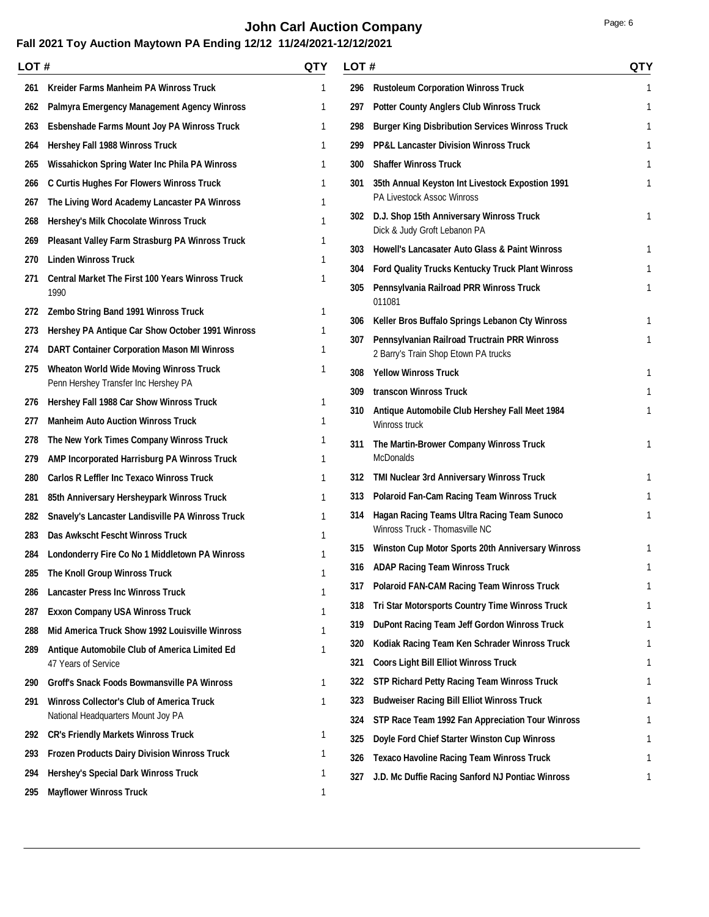# **John Carl Auction Company Page: 6 Page: 6**

|     | LOT#                                                                 |   | LOT# |                                                                               |   |
|-----|----------------------------------------------------------------------|---|------|-------------------------------------------------------------------------------|---|
| 261 | <b>Kreider Farms Manheim PA Winross Truck</b>                        | 1 | 296  | <b>Rustoleum Corporation Winross Truck</b>                                    | 1 |
| 262 | Palmyra Emergency Management Agency Winross                          | 1 | 297  | <b>Potter County Anglers Club Winross Truck</b>                               | 1 |
| 263 | <b>Esbenshade Farms Mount Joy PA Winross Truck</b>                   | 1 | 298  | <b>Burger King Disbribution Services Winross Truck</b>                        |   |
| 264 | Hershey Fall 1988 Winross Truck                                      | 1 | 299  | <b>PP&amp;L Lancaster Division Winross Truck</b>                              |   |
| 265 | Wissahickon Spring Water Inc Phila PA Winross                        | 1 | 300  | <b>Shaffer Winross Truck</b>                                                  |   |
| 266 | <b>C Curtis Hughes For Flowers Winross Truck</b>                     | 1 | 301  | 35th Annual Keyston Int Livestock Expostion 1991                              |   |
| 267 | The Living Word Academy Lancaster PA Winross                         | 1 |      | PA Livestock Assoc Winross                                                    |   |
| 268 | Hershey's Milk Chocolate Winross Truck                               | 1 | 302  | D.J. Shop 15th Anniversary Winross Truck                                      | 1 |
| 269 | Pleasant Valley Farm Strasburg PA Winross Truck                      | 1 |      | Dick & Judy Groft Lebanon PA                                                  |   |
| 270 | <b>Linden Winross Truck</b>                                          | ı | 303  | <b>Howell's Lancasater Auto Glass &amp; Paint Winross</b>                     |   |
| 271 | <b>Central Market The First 100 Years Winross Truck</b>              | 1 | 304  | <b>Ford Quality Trucks Kentucky Truck Plant Winross</b>                       |   |
|     | 1990                                                                 |   | 305  | Pennsylvania Railroad PRR Winross Truck<br>011081                             | 1 |
| 272 | Zembo String Band 1991 Winross Truck                                 | 1 | 306  | Keller Bros Buffalo Springs Lebanon Cty Winross                               |   |
| 273 | Hershey PA Antique Car Show October 1991 Winross                     | 1 | 307  | Pennsylvanian Railroad Tructrain PRR Winross                                  |   |
| 274 | <b>DART Container Corporation Mason MI Winross</b>                   | 1 |      | 2 Barry's Train Shop Etown PA trucks                                          |   |
| 275 | <b>Wheaton World Wide Moving Winross Truck</b>                       | 1 | 308  | <b>Yellow Winross Truck</b>                                                   | 1 |
|     | Penn Hershey Transfer Inc Hershey PA                                 |   | 309  | transcon Winross Truck                                                        | 1 |
| 276 | Hershey Fall 1988 Car Show Winross Truck                             | 1 | 310  | Antique Automobile Club Hershey Fall Meet 1984                                |   |
| 277 | <b>Manheim Auto Auction Winross Truck</b>                            | 1 |      | Winross truck                                                                 |   |
| 278 | The New York Times Company Winross Truck                             | 1 | 311  | The Martin-Brower Company Winross Truck                                       |   |
| 279 | AMP Incorporated Harrisburg PA Winross Truck                         | 1 |      | <b>McDonalds</b>                                                              |   |
| 280 | <b>Carlos R Leffler Inc Texaco Winross Truck</b>                     | 1 |      | 312 TMI Nuclear 3rd Anniversary Winross Truck                                 | 1 |
| 281 | 85th Anniversary Hersheypark Winross Truck                           | 1 |      | 313 Polaroid Fan-Cam Racing Team Winross Truck                                | 1 |
| 282 | Snavely's Lancaster Landisville PA Winross Truck                     | 1 | 314  | Hagan Racing Teams Ultra Racing Team Sunoco<br>Winross Truck - Thomasville NC |   |
| 283 | Das Awkscht Fescht Winross Truck                                     |   | 315  | <b>Winston Cup Motor Sports 20th Anniversary Winross</b>                      |   |
| 284 | Londonderry Fire Co No 1 Middletown PA Winross                       |   |      | 316 ADAP Racing Team Winross Truck                                            | 1 |
|     | 285 The Knoll Group Winross Truck                                    |   | 317  | <b>Polaroid FAN-CAM Racing Team Winross Truck</b>                             | 1 |
| 286 | <b>Lancaster Press Inc Winross Truck</b>                             | 1 | 318  | Tri Star Motorsports Country Time Winross Truck                               |   |
| 287 | <b>Exxon Company USA Winross Truck</b>                               | 1 | 319  | <b>DuPont Racing Team Jeff Gordon Winross Truck</b>                           |   |
| 288 | Mid America Truck Show 1992 Louisville Winross                       |   | 320  | Kodiak Racing Team Ken Schrader Winross Truck                                 |   |
| 289 | Antique Automobile Club of America Limited Ed<br>47 Years of Service | 1 | 321  | <b>Coors Light Bill Elliot Winross Truck</b>                                  |   |
| 290 | <b>Groff's Snack Foods Bowmansville PA Winross</b>                   | 1 | 322  | <b>STP Richard Petty Racing Team Winross Truck</b>                            |   |
| 291 | <b>Winross Collector's Club of America Truck</b>                     | 1 | 323  | <b>Budweiser Racing Bill Elliot Winross Truck</b>                             |   |
|     | National Headquarters Mount Joy PA                                   |   | 324  | STP Race Team 1992 Fan Appreciation Tour Winross                              |   |
| 292 | <b>CR's Friendly Markets Winross Truck</b>                           | 1 | 325  | Doyle Ford Chief Starter Winston Cup Winross                                  |   |
| 293 | <b>Frozen Products Dairy Division Winross Truck</b>                  | 1 | 326  | <b>Texaco Havoline Racing Team Winross Truck</b>                              |   |
| 294 | <b>Hershey's Special Dark Winross Truck</b>                          | 1 | 327  | J.D. Mc Duffie Racing Sanford NJ Pontiac Winross                              |   |
| 295 | <b>Mayflower Winross Truck</b>                                       | 1 |      |                                                                               |   |
|     |                                                                      |   |      |                                                                               |   |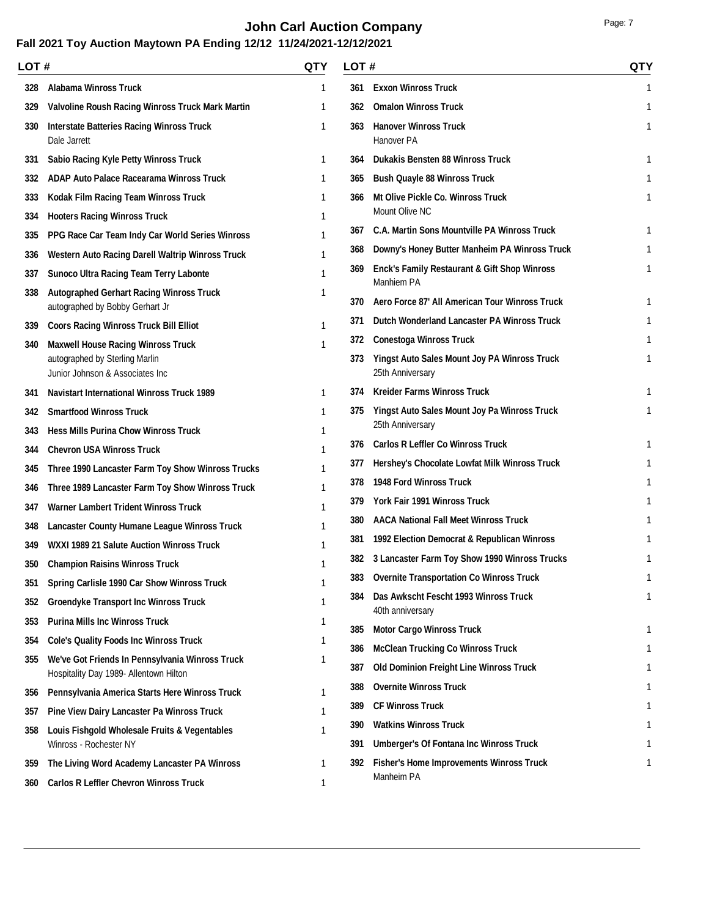# **John Carl Auction Company Page: 7 Page: 7**

|     | LOT #                                                                              |   |            | LOT #                                                                 |   |
|-----|------------------------------------------------------------------------------------|---|------------|-----------------------------------------------------------------------|---|
| 328 | <b>Alabama Winross Truck</b>                                                       | 1 | 361        | <b>Exxon Winross Truck</b>                                            | 1 |
| 329 | Valvoline Roush Racing Winross Truck Mark Martin                                   |   | 362        | <b>Omalon Winross Truck</b>                                           | 1 |
| 330 | <b>Interstate Batteries Racing Winross Truck</b><br>Dale Jarrett                   | 1 | 363        | <b>Hanover Winross Truck</b><br>Hanover PA                            | 1 |
| 331 | Sabio Racing Kyle Petty Winross Truck                                              | 1 | 364        | <b>Dukakis Bensten 88 Winross Truck</b>                               | 1 |
| 332 | <b>ADAP Auto Palace Racearama Winross Truck</b>                                    | 1 | 365        | <b>Bush Quayle 88 Winross Truck</b>                                   | 1 |
| 333 | Kodak Film Racing Team Winross Truck                                               |   | 366        | <b>Mt Olive Pickle Co. Winross Truck</b>                              | 1 |
| 334 | <b>Hooters Racing Winross Truck</b>                                                | 1 |            | Mount Olive NC                                                        |   |
| 335 | PPG Race Car Team Indy Car World Series Winross                                    | 1 | 367        | <b>C.A. Martin Sons Mountville PA Winross Truck</b>                   |   |
| 336 | Western Auto Racing Darell Waltrip Winross Truck                                   | 1 | 368        | Downy's Honey Butter Manheim PA Winross Truck                         |   |
| 337 | <b>Sunoco Ultra Racing Team Terry Labonte</b>                                      | 1 | 369        | <b>Enck's Family Restaurant &amp; Gift Shop Winross</b><br>Manhiem PA | 1 |
| 338 | <b>Autographed Gerhart Racing Winross Truck</b><br>autographed by Bobby Gerhart Jr | 1 | 370        | Aero Force 87' All American Tour Winross Truck                        |   |
| 339 | <b>Coors Racing Winross Truck Bill Elliot</b>                                      | 1 | 371        | Dutch Wonderland Lancaster PA Winross Truck                           |   |
| 340 | <b>Maxwell House Racing Winross Truck</b>                                          | 1 | 372        | <b>Conestoga Winross Truck</b>                                        |   |
|     | autographed by Sterling Marlin<br>Junior Johnson & Associates Inc                  |   | 373        | Yingst Auto Sales Mount Joy PA Winross Truck<br>25th Anniversary      |   |
| 341 | <b>Navistart International Winross Truck 1989</b>                                  | 1 | 374        | <b>Kreider Farms Winross Truck</b>                                    |   |
| 342 | <b>Smartfood Winross Truck</b>                                                     | 1 | 375        | Yingst Auto Sales Mount Joy Pa Winross Truck                          |   |
| 343 | <b>Hess Mills Purina Chow Winross Truck</b>                                        | 1 |            | 25th Anniversary                                                      |   |
| 344 | <b>Chevron USA Winross Truck</b>                                                   | 1 | 376        | <b>Carlos R Leffler Co Winross Truck</b>                              |   |
| 345 | Three 1990 Lancaster Farm Toy Show Winross Trucks                                  |   | 377        | Hershey's Chocolate Lowfat Milk Winross Truck                         |   |
| 346 | Three 1989 Lancaster Farm Toy Show Winross Truck                                   | 1 | 378        | 1948 Ford Winross Truck                                               |   |
| 347 | Warner Lambert Trident Winross Truck                                               |   | 379        | York Fair 1991 Winross Truck                                          |   |
| 348 | Lancaster County Humane League Winross Truck                                       |   | 380        | <b>AACA National Fall Meet Winross Truck</b>                          |   |
| 349 | WXXI 1989 21 Salute Auction Winross Truck                                          |   | 381        | 1992 Election Democrat & Republican Winross                           |   |
| 350 | <b>Champion Raisins Winross Truck</b>                                              | 1 |            | 382 3 Lancaster Farm Toy Show 1990 Winross Trucks                     |   |
| 351 | Spring Carlisle 1990 Car Show Winross Truck                                        | 1 | າດາ<br>585 | <b>Overnite Transportation Co Winross Truck</b>                       |   |
| 352 | <b>Groendyke Transport Inc Winross Truck</b>                                       |   | 384        | Das Awkscht Fescht 1993 Winross Truck                                 |   |
| 353 | <b>Purina Mills Inc Winross Truck</b>                                              |   |            | 40th anniversary                                                      |   |
| 354 | <b>Cole's Quality Foods Inc Winross Truck</b>                                      |   | 385        | <b>Motor Cargo Winross Truck</b>                                      |   |
| 355 | We've Got Friends In Pennsylvania Winross Truck                                    | 1 | 386        | <b>McClean Trucking Co Winross Truck</b>                              |   |
|     | Hospitality Day 1989- Allentown Hilton                                             |   | 387        | <b>Old Dominion Freight Line Winross Truck</b>                        |   |
| 356 | Pennsylvania America Starts Here Winross Truck                                     | 1 | 388        | <b>Overnite Winross Truck</b>                                         |   |
| 357 | Pine View Dairy Lancaster Pa Winross Truck                                         |   | 389        | <b>CF Winross Truck</b>                                               |   |
| 358 | Louis Fishgold Wholesale Fruits & Vegentables                                      |   | 390        | <b>Watkins Winross Truck</b>                                          |   |
|     | Winross - Rochester NY                                                             |   | 391        | <b>Umberger's Of Fontana Inc Winross Truck</b>                        |   |
| 359 | The Living Word Academy Lancaster PA Winross                                       | 1 | 392        | <b>Fisher's Home Improvements Winross Truck</b><br>Manheim PA         | 1 |
| 360 | <b>Carlos R Leffler Chevron Winross Truck</b>                                      | 1 |            |                                                                       |   |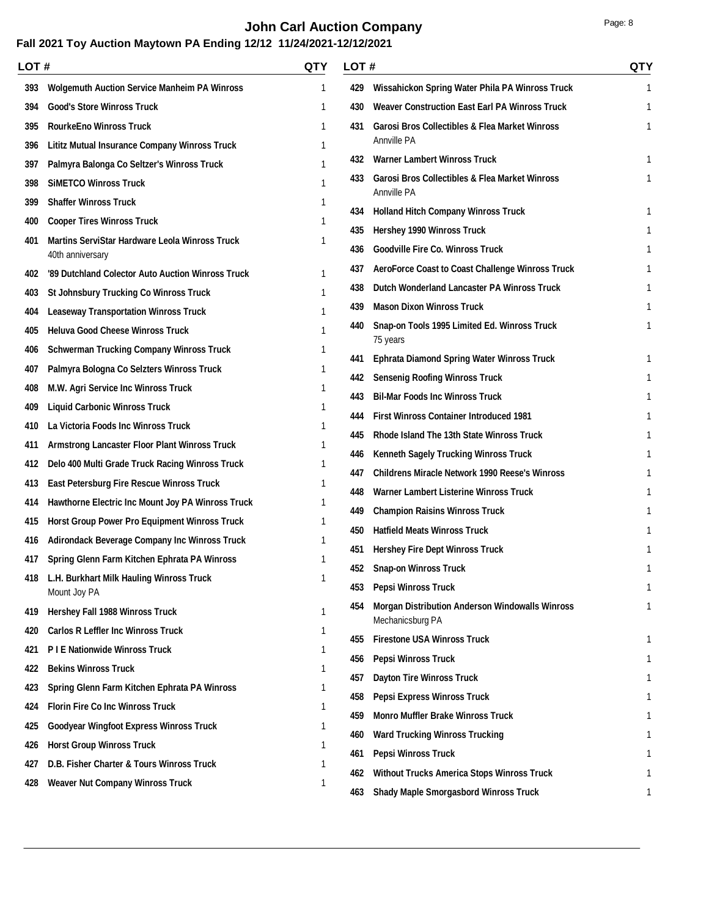# **John Carl Auction Company Page: 8 Page: 8**

| LOT # |                                                       | <b>QTY</b> | LOT#       |                                                                                                | <b>QTY</b> |
|-------|-------------------------------------------------------|------------|------------|------------------------------------------------------------------------------------------------|------------|
| 393   | <b>Wolgemuth Auction Service Manheim PA Winross</b>   | 1          | 429        | Wissahickon Spring Water Phila PA Winross Truck                                                | 1          |
| 394   | <b>Good's Store Winross Truck</b>                     | 1          | 430        | <b>Weaver Construction East Earl PA Winross Truck</b>                                          |            |
| 395   | <b>RourkeEno Winross Truck</b>                        | 1          | 431        | <b>Garosi Bros Collectibles &amp; Flea Market Winross</b>                                      | 1          |
| 396   | <b>Lititz Mutual Insurance Company Winross Truck</b>  | 1          |            | Annville PA                                                                                    |            |
| 397   | Palmyra Balonga Co Seltzer's Winross Truck            | 1          | 432        | <b>Warner Lambert Winross Truck</b>                                                            | 1          |
| 398   | <b>SIMETCO Winross Truck</b>                          |            | 433.       | <b>Garosi Bros Collectibles &amp; Flea Market Winross</b><br><b>Annville PA</b>                | 1          |
| 399   | <b>Shaffer Winross Truck</b>                          | 1          |            |                                                                                                |            |
| 400   | <b>Cooper Tires Winross Truck</b>                     | 1          | 434        | <b>Holland Hitch Company Winross Truck</b>                                                     | 1          |
| 401   | <b>Martins ServiStar Hardware Leola Winross Truck</b> | 1          | 435        | <b>Hershey 1990 Winross Truck</b>                                                              |            |
|       | 40th anniversary                                      |            | 436        | <b>Goodville Fire Co. Winross Truck</b>                                                        |            |
| 402   | '89 Dutchland Colector Auto Auction Winross Truck     |            | 437        | AeroForce Coast to Coast Challenge Winross Truck                                               |            |
| 403   | <b>St Johnsbury Trucking Co Winross Truck</b>         |            | 438        | Dutch Wonderland Lancaster PA Winross Truck                                                    |            |
| 404   | <b>Leaseway Transportation Winross Truck</b>          |            | 439        | <b>Mason Dixon Winross Truck</b>                                                               | 1          |
| 405   | <b>Heluva Good Cheese Winross Truck</b>               | 1          | 440        | Snap-on Tools 1995 Limited Ed. Winross Truck<br>75 years                                       |            |
| 406   | <b>Schwerman Trucking Company Winross Truck</b>       | 1          | 441        | <b>Ephrata Diamond Spring Water Winross Truck</b>                                              | 1          |
| 407   | Palmyra Bologna Co Selzters Winross Truck             |            | 442        | <b>Sensenig Roofing Winross Truck</b>                                                          |            |
| 408   | M.W. Agri Service Inc Winross Truck                   | 1          | 443        | <b>Bil-Mar Foods Inc Winross Truck</b>                                                         |            |
| 409   | <b>Liquid Carbonic Winross Truck</b>                  | 1          | 444        | <b>First Winross Container Introduced 1981</b>                                                 |            |
| 410   | La Victoria Foods Inc Winross Truck                   |            | 445        | Rhode Island The 13th State Winross Truck                                                      |            |
| 411   | Armstrong Lancaster Floor Plant Winross Truck         |            |            |                                                                                                |            |
| 412   | Delo 400 Multi Grade Truck Racing Winross Truck       |            | 446        | Kenneth Sagely Trucking Winross Truck<br><b>Childrens Miracle Network 1990 Reese's Winross</b> |            |
| 413   | <b>East Petersburg Fire Rescue Winross Truck</b>      |            | 447        |                                                                                                |            |
| 414   | Hawthorne Electric Inc Mount Joy PA Winross Truck     |            | 448        | Warner Lambert Listerine Winross Truck                                                         |            |
| 415   | <b>Horst Group Power Pro Equipment Winross Truck</b>  |            | 449<br>450 | <b>Champion Raisins Winross Truck</b><br><b>Hatfield Meats Winross Truck</b>                   |            |
| 416   | <b>Adirondack Beverage Company Inc Winross Truck</b>  |            |            |                                                                                                |            |
| 417   | Spring Glenn Farm Kitchen Ephrata PA Winross          | 1          | 451        | <b>Hershey Fire Dept Winross Truck</b>                                                         |            |
| 418   | L.H. Burkhart Milk Hauling Winross Truck              |            | 452        | <b>Snap-on Winross Truck</b>                                                                   | 1          |
|       | Mount Joy PA                                          |            | 453        | <b>Pepsi Winross Truck</b>                                                                     | 1          |
| 419   | Hershey Fall 1988 Winross Truck                       | 1          | 454        | <b>Morgan Distribution Anderson Windowalls Winross</b><br>Mechanicsburg PA                     |            |
| 420   | <b>Carlos R Leffler Inc Winross Truck</b>             | 1          | 455        | <b>Firestone USA Winross Truck</b>                                                             |            |
| 421   | P I E Nationwide Winross Truck                        | ı          | 456        | <b>Pepsi Winross Truck</b>                                                                     |            |
| 422   | <b>Bekins Winross Truck</b>                           |            | 457        | <b>Dayton Tire Winross Truck</b>                                                               |            |
| 423   | Spring Glenn Farm Kitchen Ephrata PA Winross          | 1          | 458        | <b>Pepsi Express Winross Truck</b>                                                             |            |
| 424   | <b>Florin Fire Co Inc Winross Truck</b>               | 1          |            | <b>Monro Muffler Brake Winross Truck</b>                                                       |            |
| 425   | <b>Goodyear Wingfoot Express Winross Truck</b>        | ı          | 459        |                                                                                                |            |
| 426   | <b>Horst Group Winross Truck</b>                      | 1          | 460<br>461 | <b>Ward Trucking Winross Trucking</b><br>Pepsi Winross Truck                                   |            |
| 427   | D.B. Fisher Charter & Tours Winross Truck             | 1          |            |                                                                                                |            |
| 428   | <b>Weaver Nut Company Winross Truck</b>               | 1          | 462        | <b>Without Trucks America Stops Winross Truck</b>                                              |            |
|       |                                                       |            | 463        | <b>Shady Maple Smorgasbord Winross Truck</b>                                                   |            |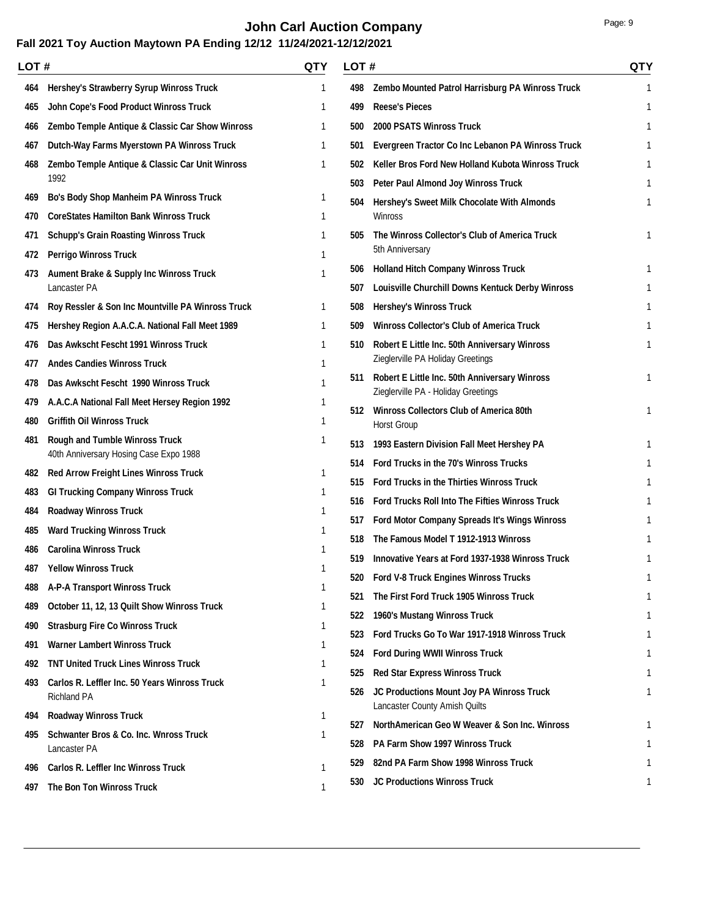# **John Carl Auction Company Page: 9 Page: 9**

| LOT# |                                                                                 | QTY          | LOT# |                                                                                    | <b>QTY</b> |
|------|---------------------------------------------------------------------------------|--------------|------|------------------------------------------------------------------------------------|------------|
| 464  | Hershey's Strawberry Syrup Winross Truck                                        | 1            | 498  | Zembo Mounted Patrol Harrisburg PA Winross Truck                                   | 1          |
| 465  | John Cope's Food Product Winross Truck                                          | 1            | 499  | <b>Reese's Pieces</b>                                                              | 1          |
| 466  | Zembo Temple Antique & Classic Car Show Winross                                 | 1            | 500  | <b>2000 PSATS Winross Truck</b>                                                    | 1          |
| 467  | Dutch-Way Farms Myerstown PA Winross Truck                                      | 1            | 501  | Evergreen Tractor Co Inc Lebanon PA Winross Truck                                  |            |
| 468  | Zembo Temple Antique & Classic Car Unit Winross                                 | 1            | 502  | Keller Bros Ford New Holland Kubota Winross Truck                                  |            |
|      | 1992                                                                            |              | 503  | Peter Paul Almond Joy Winross Truck                                                |            |
| 469  | <b>Bo's Body Shop Manheim PA Winross Truck</b>                                  | 1            | 504  | Hershey's Sweet Milk Chocolate With Almonds                                        |            |
| 470  | <b>CoreStates Hamilton Bank Winross Truck</b>                                   | 1            |      | Winross                                                                            |            |
| 471  | <b>Schupp's Grain Roasting Winross Truck</b>                                    | 1            | 505  | The Winross Collector's Club of America Truck                                      |            |
| 472  | <b>Perrigo Winross Truck</b>                                                    | $\mathbf{1}$ |      | 5th Anniversary                                                                    |            |
| 473  | <b>Aument Brake &amp; Supply Inc Winross Truck</b>                              | 1            | 506  | <b>Holland Hitch Company Winross Truck</b>                                         | 1          |
|      | Lancaster PA                                                                    |              | 507  | Louisville Churchill Downs Kentuck Derby Winross                                   |            |
| 474  | Roy Ressler & Son Inc Mountville PA Winross Truck                               | 1            | 508  | <b>Hershey's Winross Truck</b>                                                     |            |
| 475  | Hershey Region A.A.C.A. National Fall Meet 1989                                 | 1            | 509  | <b>Winross Collector's Club of America Truck</b>                                   |            |
| 476  | Das Awkscht Fescht 1991 Winross Truck                                           | 1            | 510  | Robert E Little Inc. 50th Anniversary Winross<br>Zieglerville PA Holiday Greetings |            |
| 477  | <b>Andes Candies Winross Truck</b>                                              | 1            | 511  | Robert E Little Inc. 50th Anniversary Winross                                      | 1          |
| 478  | Das Awkscht Fescht 1990 Winross Truck                                           | 1            |      | Zieglerville PA - Holiday Greetings                                                |            |
| 479  | A.A.C.A National Fall Meet Hersey Region 1992                                   | 1            |      | 512 Winross Collectors Club of America 80th                                        | 1          |
| 480  | <b>Griffith Oil Winross Truck</b>                                               | 1            |      | <b>Horst Group</b>                                                                 |            |
| 481  | <b>Rough and Tumble Winross Truck</b><br>40th Anniversary Hosing Case Expo 1988 | 1            | 513  | 1993 Eastern Division Fall Meet Hershey PA                                         |            |
| 482  | <b>Red Arrow Freight Lines Winross Truck</b>                                    | 1            | 514  | Ford Trucks in the 70's Winross Trucks                                             |            |
| 483  | <b>GI Trucking Company Winross Truck</b>                                        | 1            | 515  | <b>Ford Trucks in the Thirties Winross Truck</b>                                   | 1          |
| 484  | <b>Roadway Winross Truck</b>                                                    | 1            |      | 516 Ford Trucks Roll Into The Fifties Winross Truck                                |            |
| 485  | <b>Ward Trucking Winross Truck</b>                                              | 1            | 517  | Ford Motor Company Spreads It's Wings Winross                                      |            |
| 486  | <b>Carolina Winross Truck</b>                                                   |              | 518  | The Famous Model T 1912-1913 Winross                                               |            |
| 487  | <b>Yellow Winross Truck</b>                                                     | 1            | 519  | Innovative Years at Ford 1937-1938 Winross Truck                                   | 1          |
| 488  | <b>A-P-A Transport Winross Truck</b>                                            | 1            |      | 520 Ford V-8 Truck Engines Winross Trucks                                          |            |
| 489  | October 11, 12, 13 Quilt Show Winross Truck                                     | 1            | 521  | The First Ford Truck 1905 Winross Truck                                            |            |
| 490  | <b>Strasburg Fire Co Winross Truck</b>                                          |              | 522  | 1960's Mustang Winross Truck                                                       |            |
| 491  | <b>Warner Lambert Winross Truck</b>                                             |              | 523  | Ford Trucks Go To War 1917-1918 Winross Truck                                      |            |
|      | <b>TNT United Truck Lines Winross Truck</b>                                     |              | 524  | <b>Ford During WWII Winross Truck</b>                                              |            |
| 492  |                                                                                 |              | 525  | <b>Red Star Express Winross Truck</b>                                              |            |
| 493  | Carlos R. Leffler Inc. 50 Years Winross Truck<br><b>Richland PA</b>             |              | 526  | JC Productions Mount Joy PA Winross Truck                                          | 1          |
| 494  | <b>Roadway Winross Truck</b>                                                    |              |      | Lancaster County Amish Quilts                                                      |            |
| 495  | Schwanter Bros & Co. Inc. Wnross Truck                                          | 1            | 527  | NorthAmerican Geo W Weaver & Son Inc. Winross                                      |            |
|      | Lancaster PA                                                                    |              | 528  | PA Farm Show 1997 Winross Truck                                                    |            |
| 496  | <b>Carlos R. Leffler Inc Winross Truck</b>                                      | 1            | 529  | 82nd PA Farm Show 1998 Winross Truck                                               |            |
| 497  | The Bon Ton Winross Truck                                                       | 1            | 530  | <b>JC Productions Winross Truck</b>                                                | 1          |
|      |                                                                                 |              |      |                                                                                    |            |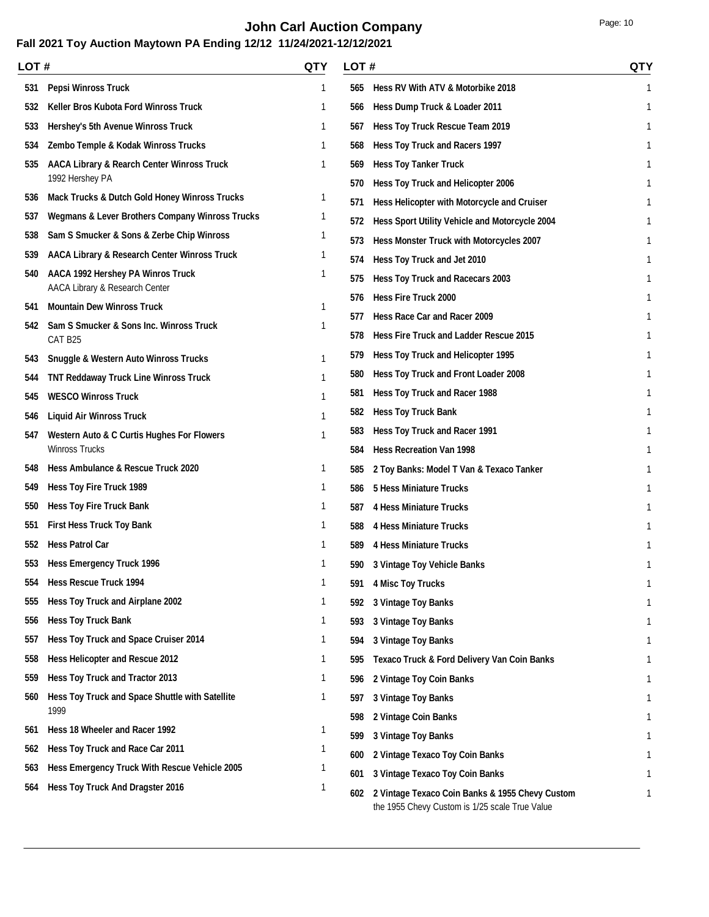# **John Carl Auction Company Page: 10** Page: 10

| LOT # |                                                            | QTY | LOT# |                                                                                                   | <b>QTY</b> |
|-------|------------------------------------------------------------|-----|------|---------------------------------------------------------------------------------------------------|------------|
| 531   | <b>Pepsi Winross Truck</b>                                 | 1   | 565  | Hess RV With ATV & Motorbike 2018                                                                 | 1          |
| 532   | Keller Bros Kubota Ford Winross Truck                      | 1   | 566  | Hess Dump Truck & Loader 2011                                                                     | 1          |
| 533   | <b>Hershey's 5th Avenue Winross Truck</b>                  | 1   | 567  | Hess Toy Truck Rescue Team 2019                                                                   |            |
| 534   | Zembo Temple & Kodak Winross Trucks                        | 1   | 568  | Hess Toy Truck and Racers 1997                                                                    |            |
| 535   | <b>AACA Library &amp; Rearch Center Winross Truck</b>      | 1   | 569  | <b>Hess Toy Tanker Truck</b>                                                                      |            |
|       | 1992 Hershey PA                                            |     | 570  | Hess Toy Truck and Helicopter 2006                                                                |            |
| 536   | <b>Mack Trucks &amp; Dutch Gold Honey Winross Trucks</b>   | 1   | 571  | Hess Helicopter with Motorcycle and Cruiser                                                       |            |
| 537   | <b>Wegmans &amp; Lever Brothers Company Winross Trucks</b> | 1   | 572  | Hess Sport Utility Vehicle and Motorcycle 2004                                                    |            |
| 538   | Sam S Smucker & Sons & Zerbe Chip Winross                  | 1   | 573  | Hess Monster Truck with Motorcycles 2007                                                          |            |
| 539   | AACA Library & Research Center Winross Truck               | 1   | 574  | Hess Toy Truck and Jet 2010                                                                       | 1          |
| 540   | <b>AACA 1992 Hershey PA Winros Truck</b>                   | 1   | 575  | Hess Toy Truck and Racecars 2003                                                                  |            |
|       | AACA Library & Research Center                             |     | 576  | <b>Hess Fire Truck 2000</b>                                                                       |            |
| 541   | <b>Mountain Dew Winross Truck</b>                          | 1   | 577  | Hess Race Car and Racer 2009                                                                      |            |
| 542   | Sam S Smucker & Sons Inc. Winross Truck<br>CAT B25         |     | 578  | <b>Hess Fire Truck and Ladder Rescue 2015</b>                                                     |            |
| 543   | <b>Snuggle &amp; Western Auto Winross Trucks</b>           | 1   | 579  | Hess Toy Truck and Helicopter 1995                                                                |            |
| 544   | <b>TNT Reddaway Truck Line Winross Truck</b>               | 1   | 580  | Hess Toy Truck and Front Loader 2008                                                              |            |
| 545   | <b>WESCO Winross Truck</b>                                 |     | 581  | Hess Toy Truck and Racer 1988                                                                     |            |
| 546   | <b>Liquid Air Winross Truck</b>                            | 1   | 582  | <b>Hess Toy Truck Bank</b>                                                                        | 1          |
| 547   | <b>Western Auto &amp; C Curtis Hughes For Flowers</b>      |     | 583  | Hess Toy Truck and Racer 1991                                                                     |            |
|       | <b>Winross Trucks</b>                                      |     | 584  | <b>Hess Recreation Van 1998</b>                                                                   |            |
| 548   | Hess Ambulance & Rescue Truck 2020                         | 1   | 585  | 2 Toy Banks: Model T Van & Texaco Tanker                                                          |            |
| 549   | <b>Hess Toy Fire Truck 1989</b>                            | 1   | 586  | <b>5 Hess Miniature Trucks</b>                                                                    |            |
| 550   | <b>Hess Toy Fire Truck Bank</b>                            | 1   | 587  | <b>4 Hess Miniature Trucks</b>                                                                    |            |
| 551   | <b>First Hess Truck Toy Bank</b>                           | 1   | 588  | <b>4 Hess Miniature Trucks</b>                                                                    |            |
| 552   | <b>Hess Patrol Car</b>                                     | 1   | 589  | <b>4 Hess Miniature Trucks</b>                                                                    |            |
| 553   | <b>Hess Emergency Truck 1996</b>                           | 1   | 590  | 3 Vintage Toy Vehicle Banks                                                                       | 1          |
| 554   | <b>Hess Rescue Truck 1994</b>                              | 1   | 591  | <b>4 Misc Toy Trucks</b>                                                                          | 1          |
| 555   | Hess Toy Truck and Airplane 2002                           | 1   | 592  | <b>3 Vintage Toy Banks</b>                                                                        |            |
| 556   | <b>Hess Toy Truck Bank</b>                                 | 1   | 593  | 3 Vintage Toy Banks                                                                               |            |
| 557   | Hess Toy Truck and Space Cruiser 2014                      | 1   | 594  | 3 Vintage Toy Banks                                                                               |            |
| 558   | Hess Helicopter and Rescue 2012                            | 1   | 595  | Texaco Truck & Ford Delivery Van Coin Banks                                                       |            |
| 559   | Hess Toy Truck and Tractor 2013                            | 1   | 596  | 2 Vintage Toy Coin Banks                                                                          |            |
| 560   | Hess Toy Truck and Space Shuttle with Satellite            | 1   | 597  | 3 Vintage Toy Banks                                                                               |            |
|       | 1999                                                       |     | 598  | 2 Vintage Coin Banks                                                                              |            |
| 561   | Hess 18 Wheeler and Racer 1992                             | 1   | 599  | 3 Vintage Toy Banks                                                                               |            |
| 562   | Hess Toy Truck and Race Car 2011                           |     | 600  | 2 Vintage Texaco Toy Coin Banks                                                                   |            |
| 563   | Hess Emergency Truck With Rescue Vehicle 2005              |     | 601  | 3 Vintage Texaco Toy Coin Banks                                                                   |            |
| 564   | Hess Toy Truck And Dragster 2016                           | 1   | 602  | 2 Vintage Texaco Coin Banks & 1955 Chevy Custom<br>the 1955 Chevy Custom is 1/25 scale True Value |            |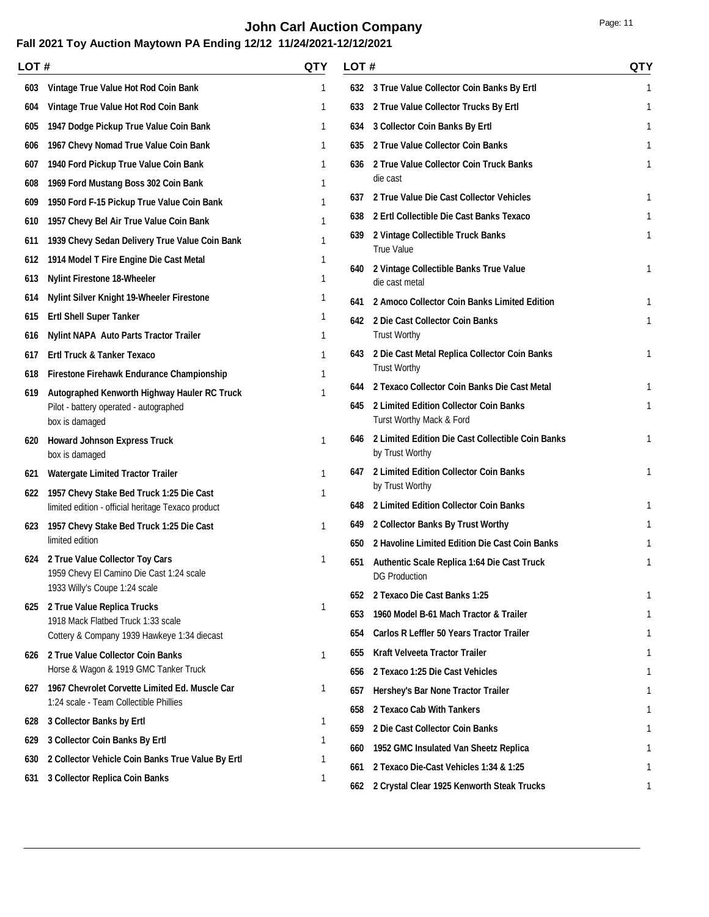# **John Carl Auction Company Page: 11**

| LOT # |                                                                                                                  | QTY          | LOT# |                                                                      | <b>QTY</b> |
|-------|------------------------------------------------------------------------------------------------------------------|--------------|------|----------------------------------------------------------------------|------------|
| 603   | Vintage True Value Hot Rod Coin Bank                                                                             | $\mathbf{1}$ |      | 632 3 True Value Collector Coin Banks By Ertl                        | 1          |
| 604   | Vintage True Value Hot Rod Coin Bank                                                                             | $\mathbf{1}$ | 633  | 2 True Value Collector Trucks By Ertl                                | 1          |
| 605   | 1947 Dodge Pickup True Value Coin Bank                                                                           | 1            | 634  | 3 Collector Coin Banks By Ertl                                       | 1          |
| 606   | 1967 Chevy Nomad True Value Coin Bank                                                                            | 1            | 635  | 2 True Value Collector Coin Banks                                    | 1          |
| 607   | 1940 Ford Pickup True Value Coin Bank                                                                            | 1            | 636  | 2 True Value Collector Coin Truck Banks                              |            |
| 608   | 1969 Ford Mustang Boss 302 Coin Bank                                                                             | 1            |      | die cast                                                             |            |
| 609   | 1950 Ford F-15 Pickup True Value Coin Bank                                                                       |              | 637  | 2 True Value Die Cast Collector Vehicles                             | 1          |
| 610   | 1957 Chevy Bel Air True Value Coin Bank                                                                          |              | 638  | 2 Ertl Collectible Die Cast Banks Texaco                             | 1          |
| 611   | 1939 Chevy Sedan Delivery True Value Coin Bank                                                                   |              | 639  | 2 Vintage Collectible Truck Banks<br><b>True Value</b>               | 1          |
| 612   | 1914 Model T Fire Engine Die Cast Metal                                                                          | 1            |      |                                                                      | 1          |
| 613   | <b>Nylint Firestone 18-Wheeler</b>                                                                               | 1            |      | 640 2 Vintage Collectible Banks True Value<br>die cast metal         |            |
| 614   | <b>Nylint Silver Knight 19-Wheeler Firestone</b>                                                                 | 1            | 641  | 2 Amoco Collector Coin Banks Limited Edition                         | 1          |
| 615   | <b>Ertl Shell Super Tanker</b>                                                                                   | 1            |      | 642 2 Die Cast Collector Coin Banks                                  | 1          |
| 616   | <b>Nylint NAPA Auto Parts Tractor Trailer</b>                                                                    | 1            |      | <b>Trust Worthy</b>                                                  |            |
| 617   | Ertl Truck & Tanker Texaco                                                                                       | 1            |      | 643 2 Die Cast Metal Replica Collector Coin Banks                    | 1          |
| 618   | Firestone Firehawk Endurance Championship                                                                        | 1            |      | <b>Trust Worthy</b>                                                  |            |
| 619   | Autographed Kenworth Highway Hauler RC Truck                                                                     |              | 644  | 2 Texaco Collector Coin Banks Die Cast Metal                         |            |
|       | Pilot - battery operated - autographed<br>box is damaged                                                         |              | 645  | 2 Limited Edition Collector Coin Banks<br>Turst Worthy Mack & Ford   | 1          |
| 620   | <b>Howard Johnson Express Truck</b><br>box is damaged                                                            | $\mathbf{1}$ | 646  | 2 Limited Edition Die Cast Collectible Coin Banks<br>by Trust Worthy | 1          |
| 621   | <b>Watergate Limited Tractor Trailer</b>                                                                         | 1            | 647  | 2 Limited Edition Collector Coin Banks                               | 1          |
| 622   | 1957 Chevy Stake Bed Truck 1:25 Die Cast                                                                         | 1            |      | by Trust Worthy                                                      |            |
|       | limited edition - official heritage Texaco product                                                               |              | 648  | 2 Limited Edition Collector Coin Banks                               |            |
| 623   | 1957 Chevy Stake Bed Truck 1:25 Die Cast                                                                         | $\mathbf{1}$ | 649  | 2 Collector Banks By Trust Worthy                                    |            |
|       | limited edition                                                                                                  |              | 650  | 2 Havoline Limited Edition Die Cast Coin Banks                       |            |
|       | 624 2 True Value Collector Toy Cars<br>1959 Chevy El Camino Die Cast 1:24 scale<br>1933 Willy's Coupe 1:24 scale | 1            |      | 651 Authentic Scale Replica 1:64 Die Cast Truck<br>DG Production     | 1          |
|       |                                                                                                                  |              | 652  | 2 Texaco Die Cast Banks 1:25                                         |            |
|       | 625 2 True Value Replica Trucks<br>1918 Mack Flatbed Truck 1:33 scale                                            | 1            | 653  | 1960 Model B-61 Mach Tractor & Trailer                               |            |
|       | Cottery & Company 1939 Hawkeye 1:34 diecast                                                                      |              | 654  | Carlos R Leffler 50 Years Tractor Trailer                            |            |
|       | 626 2 True Value Collector Coin Banks                                                                            | 1            | 655  | Kraft Velveeta Tractor Trailer                                       |            |
|       | Horse & Wagon & 1919 GMC Tanker Truck                                                                            |              | 656  | 2 Texaco 1:25 Die Cast Vehicles                                      |            |
|       | 627 1967 Chevrolet Corvette Limited Ed. Muscle Car<br>1:24 scale - Team Collectible Phillies                     | 1            | 657  | Hershey's Bar None Tractor Trailer                                   |            |
| 628   | 3 Collector Banks by Ertl                                                                                        | 1            | 658  | 2 Texaco Cab With Tankers                                            |            |
| 629   | 3 Collector Coin Banks By Ertl                                                                                   |              | 659  | 2 Die Cast Collector Coin Banks                                      |            |
| 630   | 2 Collector Vehicle Coin Banks True Value By Ertl                                                                |              | 660  | 1952 GMC Insulated Van Sheetz Replica                                |            |
|       | 3 Collector Replica Coin Banks                                                                                   |              | 661  | 2 Texaco Die-Cast Vehicles 1:34 & 1:25                               |            |
| 631   |                                                                                                                  |              | 662  | 2 Crystal Clear 1925 Kenworth Steak Trucks                           |            |